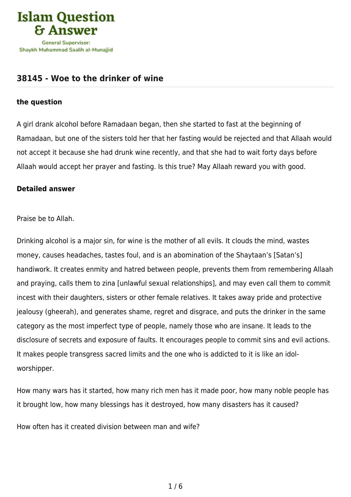

## **[38145 - Woe to the drinker of wine](https://islamqa.com/en/answers/38145/woe-to-the-drinker-of-wine)**

## **the question**

A girl drank alcohol before Ramadaan began, then she started to fast at the beginning of Ramadaan, but one of the sisters told her that her fasting would be rejected and that Allaah would not accept it because she had drunk wine recently, and that she had to wait forty days before Allaah would accept her prayer and fasting. Is this true? May Allaah reward you with good.

## **Detailed answer**

Praise be to Allah.

Drinking alcohol is a major sin, for wine is the mother of all evils. It clouds the mind, wastes money, causes headaches, tastes foul, and is an abomination of the Shaytaan's [Satan's] handiwork. It creates enmity and hatred between people, prevents them from remembering Allaah and praying, calls them to zina [unlawful sexual relationships], and may even call them to commit incest with their daughters, sisters or other female relatives. It takes away pride and protective jealousy (gheerah), and generates shame, regret and disgrace, and puts the drinker in the same category as the most imperfect type of people, namely those who are insane. It leads to the disclosure of secrets and exposure of faults. It encourages people to commit sins and evil actions. It makes people transgress sacred limits and the one who is addicted to it is like an idolworshipper.

How many wars has it started, how many rich men has it made poor, how many noble people has it brought low, how many blessings has it destroyed, how many disasters has it caused?

How often has it created division between man and wife?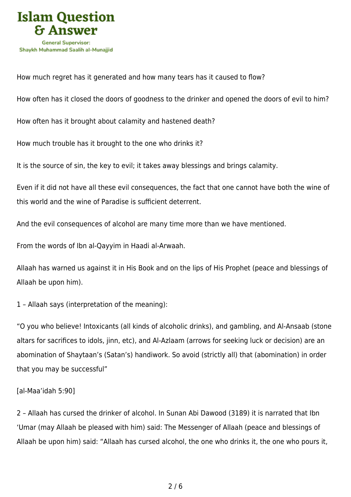

How much regret has it generated and how many tears has it caused to flow?

How often has it closed the doors of goodness to the drinker and opened the doors of evil to him?

How often has it brought about calamity and hastened death?

How much trouble has it brought to the one who drinks it?

It is the source of sin, the key to evil; it takes away blessings and brings calamity.

Even if it did not have all these evil consequences, the fact that one cannot have both the wine of this world and the wine of Paradise is sufficient deterrent.

And the evil consequences of alcohol are many time more than we have mentioned.

From the words of Ibn al-Qayyim in Haadi al-Arwaah.

Allaah has warned us against it in His Book and on the lips of His Prophet (peace and blessings of Allaah be upon him).

1 – Allaah says (interpretation of the meaning):

"O you who believe! Intoxicants (all kinds of alcoholic drinks), and gambling, and Al-Ansaab (stone altars for sacrifices to idols, jinn, etc), and Al-Azlaam (arrows for seeking luck or decision) are an abomination of Shaytaan's (Satan's) handiwork. So avoid (strictly all) that (abomination) in order that you may be successful"

## [al-Maa'idah 5:90]

2 – Allaah has cursed the drinker of alcohol. In Sunan Abi Dawood (3189) it is narrated that Ibn 'Umar (may Allaah be pleased with him) said: The Messenger of Allaah (peace and blessings of Allaah be upon him) said: "Allaah has cursed alcohol, the one who drinks it, the one who pours it,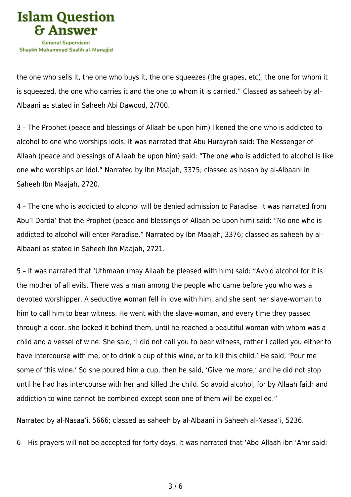

the one who sells it, the one who buys it, the one squeezes (the grapes, etc), the one for whom it is squeezed, the one who carries it and the one to whom it is carried." Classed as saheeh by al-Albaani as stated in Saheeh Abi Dawood, 2/700.

3 – The Prophet (peace and blessings of Allaah be upon him) likened the one who is addicted to alcohol to one who worships idols. It was narrated that Abu Hurayrah said: The Messenger of Allaah (peace and blessings of Allaah be upon him) said: "The one who is addicted to alcohol is like one who worships an idol." Narrated by Ibn Maajah, 3375; classed as hasan by al-Albaani in Saheeh Ibn Maajah, 2720.

4 – The one who is addicted to alcohol will be denied admission to Paradise. It was narrated from Abu'l-Darda' that the Prophet (peace and blessings of Allaah be upon him) said: "No one who is addicted to alcohol will enter Paradise." Narrated by Ibn Maajah, 3376; classed as saheeh by al-Albaani as stated in Saheeh Ibn Maajah, 2721.

5 – It was narrated that 'Uthmaan (may Allaah be pleased with him) said: "Avoid alcohol for it is the mother of all evils. There was a man among the people who came before you who was a devoted worshipper. A seductive woman fell in love with him, and she sent her slave-woman to him to call him to bear witness. He went with the slave-woman, and every time they passed through a door, she locked it behind them, until he reached a beautiful woman with whom was a child and a vessel of wine. She said, 'I did not call you to bear witness, rather I called you either to have intercourse with me, or to drink a cup of this wine, or to kill this child.' He said, 'Pour me some of this wine.' So she poured him a cup, then he said, 'Give me more,' and he did not stop until he had has intercourse with her and killed the child. So avoid alcohol, for by Allaah faith and addiction to wine cannot be combined except soon one of them will be expelled."

Narrated by al-Nasaa'i, 5666; classed as saheeh by al-Albaani in Saheeh al-Nasaa'i, 5236.

6 – His prayers will not be accepted for forty days. It was narrated that 'Abd-Allaah ibn 'Amr said: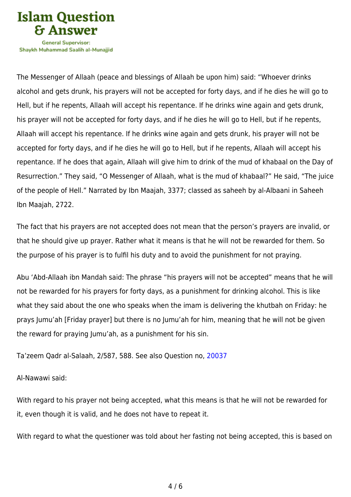

Shavkh Muhammad Saalih al-Munaiiid

The Messenger of Allaah (peace and blessings of Allaah be upon him) said: "Whoever drinks alcohol and gets drunk, his prayers will not be accepted for forty days, and if he dies he will go to Hell, but if he repents, Allaah will accept his repentance. If he drinks wine again and gets drunk, his prayer will not be accepted for forty days, and if he dies he will go to Hell, but if he repents, Allaah will accept his repentance. If he drinks wine again and gets drunk, his prayer will not be accepted for forty days, and if he dies he will go to Hell, but if he repents, Allaah will accept his repentance. If he does that again, Allaah will give him to drink of the mud of khabaal on the Day of Resurrection." They said, "O Messenger of Allaah, what is the mud of khabaal?" He said, "The juice of the people of Hell." Narrated by Ibn Maajah, 3377; classed as saheeh by al-Albaani in Saheeh Ibn Maajah, 2722.

The fact that his prayers are not accepted does not mean that the person's prayers are invalid, or that he should give up prayer. Rather what it means is that he will not be rewarded for them. So the purpose of his prayer is to fulfil his duty and to avoid the punishment for not praying.

Abu 'Abd-Allaah ibn Mandah said: The phrase "his prayers will not be accepted" means that he will not be rewarded for his prayers for forty days, as a punishment for drinking alcohol. This is like what they said about the one who speaks when the imam is delivering the khutbah on Friday: he prays Jumu'ah [Friday prayer] but there is no Jumu'ah for him, meaning that he will not be given the reward for praying Jumu'ah, as a punishment for his sin.

Ta'zeem Qadr al-Salaah, 2/587, 588. See also Question no, [20037](https://islamqa.com/en/answers/20037)

Al-Nawawi said:

With regard to his prayer not being accepted, what this means is that he will not be rewarded for it, even though it is valid, and he does not have to repeat it.

With regard to what the questioner was told about her fasting not being accepted, this is based on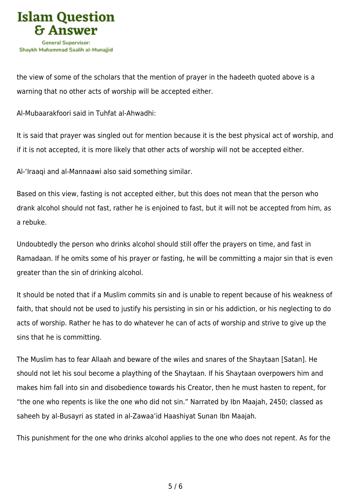

the view of some of the scholars that the mention of prayer in the hadeeth quoted above is a warning that no other acts of worship will be accepted either.

Al-Mubaarakfoori said in Tuhfat al-Ahwadhi:

It is said that prayer was singled out for mention because it is the best physical act of worship, and if it is not accepted, it is more likely that other acts of worship will not be accepted either.

Al-'Iraaqi and al-Mannaawi also said something similar.

Based on this view, fasting is not accepted either, but this does not mean that the person who drank alcohol should not fast, rather he is enjoined to fast, but it will not be accepted from him, as a rebuke.

Undoubtedly the person who drinks alcohol should still offer the prayers on time, and fast in Ramadaan. If he omits some of his prayer or fasting, he will be committing a major sin that is even greater than the sin of drinking alcohol.

It should be noted that if a Muslim commits sin and is unable to repent because of his weakness of faith, that should not be used to justify his persisting in sin or his addiction, or his neglecting to do acts of worship. Rather he has to do whatever he can of acts of worship and strive to give up the sins that he is committing.

The Muslim has to fear Allaah and beware of the wiles and snares of the Shaytaan [Satan]. He should not let his soul become a plaything of the Shaytaan. If his Shaytaan overpowers him and makes him fall into sin and disobedience towards his Creator, then he must hasten to repent, for "the one who repents is like the one who did not sin." Narrated by Ibn Maajah, 2450; classed as saheeh by al-Busayri as stated in al-Zawaa'id Haashiyat Sunan Ibn Maajah.

This punishment for the one who drinks alcohol applies to the one who does not repent. As for the